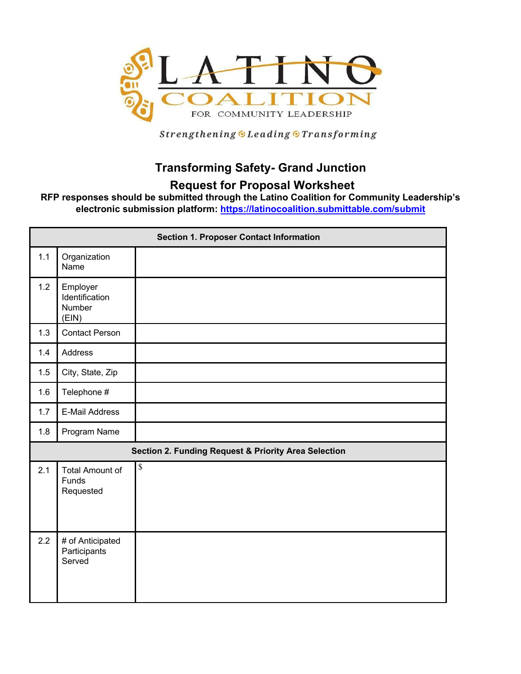

Strengthening OLeading OTransforming

# **Transforming Safety- Grand Junction**

## **Request for Proposal Worksheet**

### **RFP responses should be submitted through the Latino Coalition for Community Leadership's electronic submission platform: https://latinocoalition.submittable.com/submit**

| <b>Section 1. Proposer Contact Information</b> |                                               |                                                                 |
|------------------------------------------------|-----------------------------------------------|-----------------------------------------------------------------|
| 1.1                                            | Organization<br>Name                          |                                                                 |
| 1.2                                            | Employer<br>Identification<br>Number<br>(EIN) |                                                                 |
| 1.3                                            | <b>Contact Person</b>                         |                                                                 |
| 1.4                                            | Address                                       |                                                                 |
| 1.5                                            | City, State, Zip                              |                                                                 |
| 1.6                                            | Telephone #                                   |                                                                 |
| 1.7                                            | <b>E-Mail Address</b>                         |                                                                 |
| 1.8                                            | Program Name                                  |                                                                 |
|                                                |                                               | <b>Section 2. Funding Request &amp; Priority Area Selection</b> |
| 2.1                                            | <b>Total Amount of</b><br>Funds<br>Requested  | $\mathbb{S}$                                                    |
| 2.2                                            | # of Anticipated<br>Participants<br>Served    |                                                                 |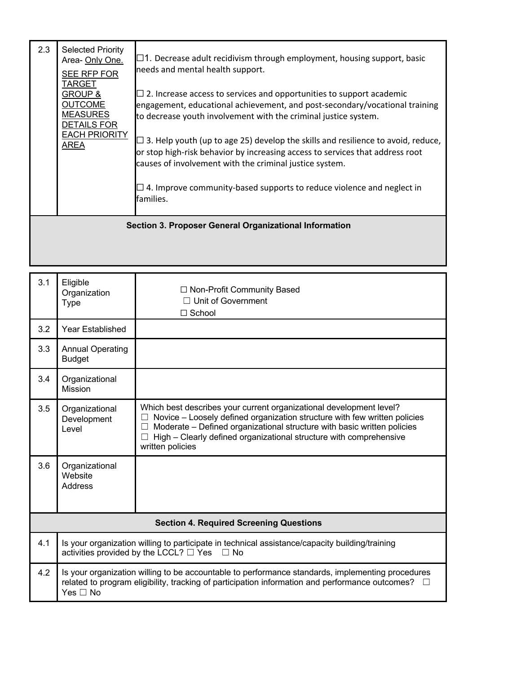| 2.3 | <b>Selected Priority</b><br>Area- Only One.<br><b>SEE RFP FOR</b><br><b>TARGET</b><br><b>GROUP &amp;</b><br><b>OUTCOME</b><br><b>MEASURES</b><br><b>DETAILS FOR</b><br><b>EACH PRIORITY</b><br><b>AREA</b>                | $\Box$ 1. Decrease adult recidivism through employment, housing support, basic<br>needs and mental health support.<br>$\Box$ 2. Increase access to services and opportunities to support academic<br>engagement, educational achievement, and post-secondary/vocational training<br>to decrease youth involvement with the criminal justice system.<br>$\Box$ 3. Help youth (up to age 25) develop the skills and resilience to avoid, reduce,<br>or stop high-risk behavior by increasing access to services that address root<br>causes of involvement with the criminal justice system.<br>$\Box$ 4. Improve community-based supports to reduce violence and neglect in<br>families. |
|-----|---------------------------------------------------------------------------------------------------------------------------------------------------------------------------------------------------------------------------|-----------------------------------------------------------------------------------------------------------------------------------------------------------------------------------------------------------------------------------------------------------------------------------------------------------------------------------------------------------------------------------------------------------------------------------------------------------------------------------------------------------------------------------------------------------------------------------------------------------------------------------------------------------------------------------------|
|     |                                                                                                                                                                                                                           | <b>Section 3. Proposer General Organizational Information</b>                                                                                                                                                                                                                                                                                                                                                                                                                                                                                                                                                                                                                           |
|     |                                                                                                                                                                                                                           |                                                                                                                                                                                                                                                                                                                                                                                                                                                                                                                                                                                                                                                                                         |
|     |                                                                                                                                                                                                                           |                                                                                                                                                                                                                                                                                                                                                                                                                                                                                                                                                                                                                                                                                         |
| 3.1 | Eligible<br>Organization<br><b>Type</b>                                                                                                                                                                                   | □ Non-Profit Community Based<br>$\Box$ Unit of Government<br>$\Box$ School                                                                                                                                                                                                                                                                                                                                                                                                                                                                                                                                                                                                              |
| 3.2 | Year Established                                                                                                                                                                                                          |                                                                                                                                                                                                                                                                                                                                                                                                                                                                                                                                                                                                                                                                                         |
| 3.3 | <b>Annual Operating</b><br><b>Budget</b>                                                                                                                                                                                  |                                                                                                                                                                                                                                                                                                                                                                                                                                                                                                                                                                                                                                                                                         |
| 3.4 | Organizational<br>Mission                                                                                                                                                                                                 |                                                                                                                                                                                                                                                                                                                                                                                                                                                                                                                                                                                                                                                                                         |
| 3.5 | Organizational<br>Development<br>Level                                                                                                                                                                                    | Which best describes your current organizational development level?<br>Novice – Loosely defined organization structure with few written policies<br>ш<br>Moderate - Defined organizational structure with basic written policies<br>⊔<br>High - Clearly defined organizational structure with comprehensive<br>ப<br>written policies                                                                                                                                                                                                                                                                                                                                                    |
| 3.6 | Organizational<br>Website<br><b>Address</b>                                                                                                                                                                               |                                                                                                                                                                                                                                                                                                                                                                                                                                                                                                                                                                                                                                                                                         |
|     |                                                                                                                                                                                                                           | <b>Section 4. Required Screening Questions</b>                                                                                                                                                                                                                                                                                                                                                                                                                                                                                                                                                                                                                                          |
| 4.1 |                                                                                                                                                                                                                           | Is your organization willing to participate in technical assistance/capacity building/training<br>activities provided by the LCCL? □ Yes<br>$\Box$ No                                                                                                                                                                                                                                                                                                                                                                                                                                                                                                                                   |
| 4.2 | Is your organization willing to be accountable to performance standards, implementing procedures<br>related to program eligibility, tracking of participation information and performance outcomes?<br>$\Box$<br>Yes □ No |                                                                                                                                                                                                                                                                                                                                                                                                                                                                                                                                                                                                                                                                                         |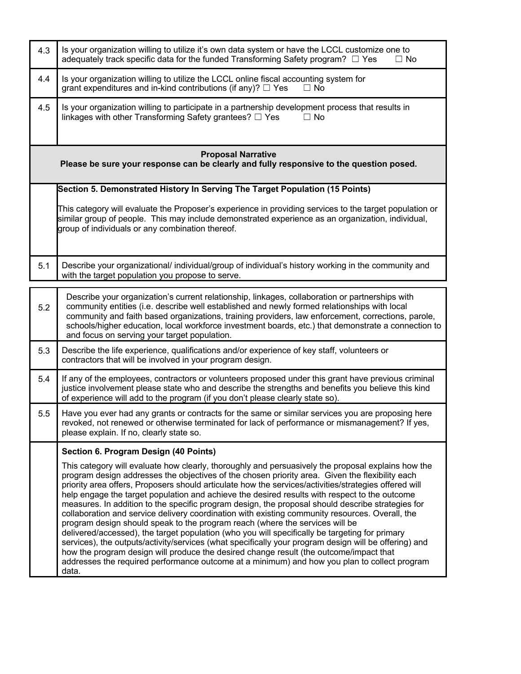| 4.3 | Is your organization willing to utilize it's own data system or have the LCCL customize one to<br>adequately track specific data for the funded Transforming Safety program? $\Box$ Yes<br>$\Box$ No                                                                                                                                                                                                                                                                                                                                                                                                                                                                                                                                                                                                                                                                                                                                                                                                                                                                                                                  |
|-----|-----------------------------------------------------------------------------------------------------------------------------------------------------------------------------------------------------------------------------------------------------------------------------------------------------------------------------------------------------------------------------------------------------------------------------------------------------------------------------------------------------------------------------------------------------------------------------------------------------------------------------------------------------------------------------------------------------------------------------------------------------------------------------------------------------------------------------------------------------------------------------------------------------------------------------------------------------------------------------------------------------------------------------------------------------------------------------------------------------------------------|
| 4.4 | Is your organization willing to utilize the LCCL online fiscal accounting system for<br>grant expenditures and in-kind contributions (if any)? $\Box$ Yes<br>⊟ No                                                                                                                                                                                                                                                                                                                                                                                                                                                                                                                                                                                                                                                                                                                                                                                                                                                                                                                                                     |
| 4.5 | Is your organization willing to participate in a partnership development process that results in<br>linkages with other Transforming Safety grantees? $\Box$ Yes<br>$\Box$ No                                                                                                                                                                                                                                                                                                                                                                                                                                                                                                                                                                                                                                                                                                                                                                                                                                                                                                                                         |
|     | <b>Proposal Narrative</b><br>Please be sure your response can be clearly and fully responsive to the question posed.                                                                                                                                                                                                                                                                                                                                                                                                                                                                                                                                                                                                                                                                                                                                                                                                                                                                                                                                                                                                  |
|     | Section 5. Demonstrated History In Serving The Target Population (15 Points)                                                                                                                                                                                                                                                                                                                                                                                                                                                                                                                                                                                                                                                                                                                                                                                                                                                                                                                                                                                                                                          |
|     | This category will evaluate the Proposer's experience in providing services to the target population or<br>similar group of people. This may include demonstrated experience as an organization, individual,<br>group of individuals or any combination thereof.                                                                                                                                                                                                                                                                                                                                                                                                                                                                                                                                                                                                                                                                                                                                                                                                                                                      |
| 5.1 | Describe your organizational/ individual/group of individual's history working in the community and<br>with the target population you propose to serve.                                                                                                                                                                                                                                                                                                                                                                                                                                                                                                                                                                                                                                                                                                                                                                                                                                                                                                                                                               |
| 5.2 | Describe your organization's current relationship, linkages, collaboration or partnerships with<br>community entities (i.e. describe well established and newly formed relationships with local<br>community and faith based organizations, training providers, law enforcement, corrections, parole,<br>schools/higher education, local workforce investment boards, etc.) that demonstrate a connection to<br>and focus on serving your target population.                                                                                                                                                                                                                                                                                                                                                                                                                                                                                                                                                                                                                                                          |
| 5.3 | Describe the life experience, qualifications and/or experience of key staff, volunteers or<br>contractors that will be involved in your program design.                                                                                                                                                                                                                                                                                                                                                                                                                                                                                                                                                                                                                                                                                                                                                                                                                                                                                                                                                               |
| 5.4 | If any of the employees, contractors or volunteers proposed under this grant have previous criminal<br>justice involvement please state who and describe the strengths and benefits you believe this kind<br>of experience will add to the program (if you don't please clearly state so).                                                                                                                                                                                                                                                                                                                                                                                                                                                                                                                                                                                                                                                                                                                                                                                                                            |
| 5.5 | Have you ever had any grants or contracts for the same or similar services you are proposing here<br>revoked, not renewed or otherwise terminated for lack of performance or mismanagement? If yes,<br>please explain. If no, clearly state so.                                                                                                                                                                                                                                                                                                                                                                                                                                                                                                                                                                                                                                                                                                                                                                                                                                                                       |
|     | Section 6. Program Design (40 Points)                                                                                                                                                                                                                                                                                                                                                                                                                                                                                                                                                                                                                                                                                                                                                                                                                                                                                                                                                                                                                                                                                 |
|     | This category will evaluate how clearly, thoroughly and persuasively the proposal explains how the<br>program design addresses the objectives of the chosen priority area. Given the flexibility each<br>priority area offers, Proposers should articulate how the services/activities/strategies offered will<br>help engage the target population and achieve the desired results with respect to the outcome<br>measures. In addition to the specific program design, the proposal should describe strategies for<br>collaboration and service delivery coordination with existing community resources. Overall, the<br>program design should speak to the program reach (where the services will be<br>delivered/accessed), the target population (who you will specifically be targeting for primary<br>services), the outputs/activity/services (what specifically your program design will be offering) and<br>how the program design will produce the desired change result (the outcome/impact that<br>addresses the required performance outcome at a minimum) and how you plan to collect program<br>data. |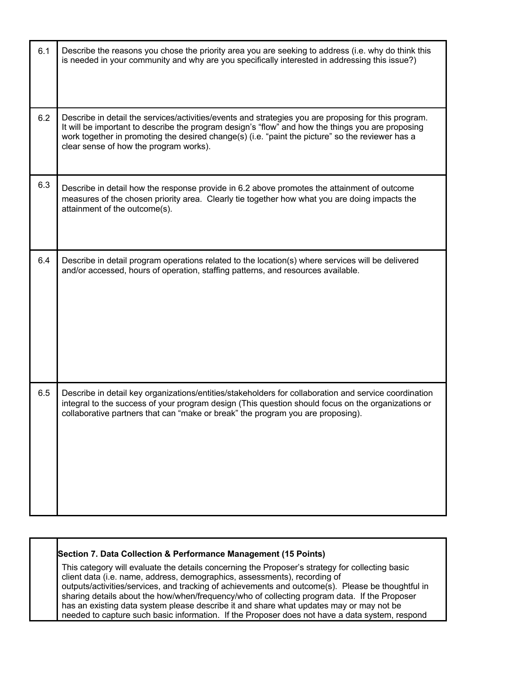| 6.1 | Describe the reasons you chose the priority area you are seeking to address (i.e. why do think this<br>is needed in your community and why are you specifically interested in addressing this issue?)                                                                                                                                                   |
|-----|---------------------------------------------------------------------------------------------------------------------------------------------------------------------------------------------------------------------------------------------------------------------------------------------------------------------------------------------------------|
| 6.2 | Describe in detail the services/activities/events and strategies you are proposing for this program.<br>It will be important to describe the program design's "flow" and how the things you are proposing<br>work together in promoting the desired change(s) (i.e. "paint the picture" so the reviewer has a<br>clear sense of how the program works). |
| 6.3 | Describe in detail how the response provide in 6.2 above promotes the attainment of outcome<br>measures of the chosen priority area. Clearly tie together how what you are doing impacts the<br>attainment of the outcome(s).                                                                                                                           |
| 6.4 | Describe in detail program operations related to the location(s) where services will be delivered<br>and/or accessed, hours of operation, staffing patterns, and resources available.                                                                                                                                                                   |
| 6.5 | Describe in detail key organizations/entities/stakeholders for collaboration and service coordination<br>integral to the success of your program design (This question should focus on the organizations or<br>collaborative partners that can "make or break" the program you are proposing).                                                          |

#### **Section 7. Data Collection & Performance Management (15 Points)**

This category will evaluate the details concerning the Proposer's strategy for collecting basic client data (i.e. name, address, demographics, assessments), recording of outputs/activities/services, and tracking of achievements and outcome(s). Please be thoughtful in sharing details about the how/when/frequency/who of collecting program data. If the Proposer has an existing data system please describe it and share what updates may or may not be needed to capture such basic information. If the Proposer does not have a data system, respond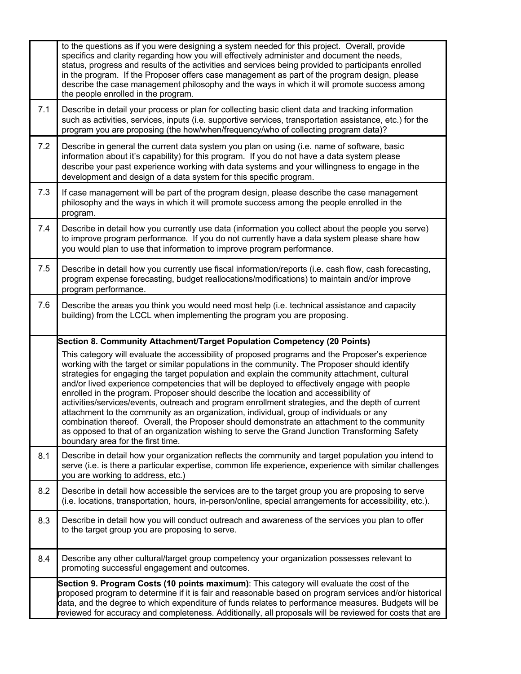|     | to the questions as if you were designing a system needed for this project. Overall, provide<br>specifics and clarity regarding how you will effectively administer and document the needs,<br>status, progress and results of the activities and services being provided to participants enrolled<br>in the program. If the Proposer offers case management as part of the program design, please<br>describe the case management philosophy and the ways in which it will promote success among<br>the people enrolled in the program.                                                                                                                                                                                                                                                                                                                                                                                      |
|-----|-------------------------------------------------------------------------------------------------------------------------------------------------------------------------------------------------------------------------------------------------------------------------------------------------------------------------------------------------------------------------------------------------------------------------------------------------------------------------------------------------------------------------------------------------------------------------------------------------------------------------------------------------------------------------------------------------------------------------------------------------------------------------------------------------------------------------------------------------------------------------------------------------------------------------------|
| 7.1 | Describe in detail your process or plan for collecting basic client data and tracking information<br>such as activities, services, inputs (i.e. supportive services, transportation assistance, etc.) for the<br>program you are proposing (the how/when/frequency/who of collecting program data)?                                                                                                                                                                                                                                                                                                                                                                                                                                                                                                                                                                                                                           |
| 7.2 | Describe in general the current data system you plan on using (i.e. name of software, basic<br>information about it's capability) for this program. If you do not have a data system please<br>describe your past experience working with data systems and your willingness to engage in the<br>development and design of a data system for this specific program.                                                                                                                                                                                                                                                                                                                                                                                                                                                                                                                                                            |
| 7.3 | If case management will be part of the program design, please describe the case management<br>philosophy and the ways in which it will promote success among the people enrolled in the<br>program.                                                                                                                                                                                                                                                                                                                                                                                                                                                                                                                                                                                                                                                                                                                           |
| 7.4 | Describe in detail how you currently use data (information you collect about the people you serve)<br>to improve program performance. If you do not currently have a data system please share how<br>you would plan to use that information to improve program performance.                                                                                                                                                                                                                                                                                                                                                                                                                                                                                                                                                                                                                                                   |
| 7.5 | Describe in detail how you currently use fiscal information/reports (i.e. cash flow, cash forecasting,<br>program expense forecasting, budget reallocations/modifications) to maintain and/or improve<br>program performance.                                                                                                                                                                                                                                                                                                                                                                                                                                                                                                                                                                                                                                                                                                 |
| 7.6 | Describe the areas you think you would need most help (i.e. technical assistance and capacity<br>building) from the LCCL when implementing the program you are proposing.                                                                                                                                                                                                                                                                                                                                                                                                                                                                                                                                                                                                                                                                                                                                                     |
|     | Section 8. Community Attachment/Target Population Competency (20 Points)                                                                                                                                                                                                                                                                                                                                                                                                                                                                                                                                                                                                                                                                                                                                                                                                                                                      |
|     | This category will evaluate the accessibility of proposed programs and the Proposer's experience<br>working with the target or similar populations in the community. The Proposer should identify<br>strategies for engaging the target population and explain the community attachment, cultural<br>and/or lived experience competencies that will be deployed to effectively engage with people<br>enrolled in the program. Proposer should describe the location and accessibility of<br>activities/services/events, outreach and program enrollment strategies, and the depth of current<br>attachment to the community as an organization, individual, group of individuals or any<br>combination thereof. Overall, the Proposer should demonstrate an attachment to the community<br>as opposed to that of an organization wishing to serve the Grand Junction Transforming Safety<br>boundary area for the first time. |
| 8.1 | Describe in detail how your organization reflects the community and target population you intend to<br>serve (i.e. is there a particular expertise, common life experience, experience with similar challenges<br>you are working to address, etc.)                                                                                                                                                                                                                                                                                                                                                                                                                                                                                                                                                                                                                                                                           |
| 8.2 | Describe in detail how accessible the services are to the target group you are proposing to serve<br>(i.e. locations, transportation, hours, in-person/online, special arrangements for accessibility, etc.).                                                                                                                                                                                                                                                                                                                                                                                                                                                                                                                                                                                                                                                                                                                 |
| 8.3 | Describe in detail how you will conduct outreach and awareness of the services you plan to offer<br>to the target group you are proposing to serve.                                                                                                                                                                                                                                                                                                                                                                                                                                                                                                                                                                                                                                                                                                                                                                           |
| 8.4 | Describe any other cultural/target group competency your organization possesses relevant to<br>promoting successful engagement and outcomes.                                                                                                                                                                                                                                                                                                                                                                                                                                                                                                                                                                                                                                                                                                                                                                                  |
|     | Section 9. Program Costs (10 points maximum): This category will evaluate the cost of the<br>proposed program to determine if it is fair and reasonable based on program services and/or historical<br>data, and the degree to which expenditure of funds relates to performance measures. Budgets will be<br>reviewed for accuracy and completeness. Additionally, all proposals will be reviewed for costs that are                                                                                                                                                                                                                                                                                                                                                                                                                                                                                                         |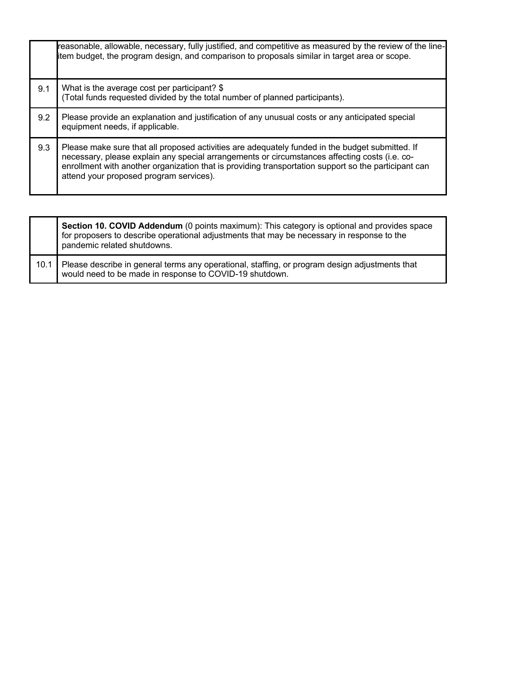|     | reasonable, allowable, necessary, fully justified, and competitive as measured by the review of the line-<br>item budget, the program design, and comparison to proposals similar in target area or scope.                                                                                                                                          |
|-----|-----------------------------------------------------------------------------------------------------------------------------------------------------------------------------------------------------------------------------------------------------------------------------------------------------------------------------------------------------|
| 9.1 | What is the average cost per participant? \$<br>(Total funds requested divided by the total number of planned participants).                                                                                                                                                                                                                        |
| 9.2 | Please provide an explanation and justification of any unusual costs or any anticipated special<br>equipment needs, if applicable.                                                                                                                                                                                                                  |
| 9.3 | Please make sure that all proposed activities are adequately funded in the budget submitted. If<br>necessary, please explain any special arrangements or circumstances affecting costs (i.e. co-<br>enrollment with another organization that is providing transportation support so the participant can<br>attend your proposed program services). |

|      | Section 10. COVID Addendum (0 points maximum): This category is optional and provides space<br>for proposers to describe operational adjustments that may be necessary in response to the<br>pandemic related shutdowns. |
|------|--------------------------------------------------------------------------------------------------------------------------------------------------------------------------------------------------------------------------|
| 10.1 | Please describe in general terms any operational, staffing, or program design adjustments that<br>would need to be made in response to COVID-19 shutdown.                                                                |